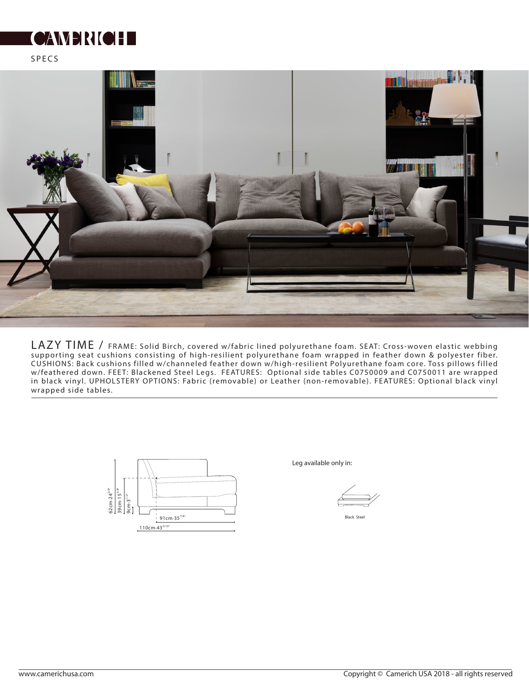## **SEE STANDING**

SPECS



LAZY TIME / FRAME: Solid Birch, covered w/fabric lined polyurethane foam. SEAT: Cross-woven elastic webbing supporting seat cushions consisting of high-resilient polyurethane foam wrapped in feather down & polyester fiber. CUSHIONS: Back cushions filled w/channeled feather down w/high-resilient Polyurethane foam core. Toss pillows filled w/feathered down. FEET: Blackened Steel Legs. FEATURES: Optional side tables C0750009 and C0750011 are wrapped in black vinyl. UPHOLSTERY OPTIONS: Fabric (removable) or Leather (non-removable). FEATURES: Optional black vinyl wrapped side tables.



Leg available only in:

Black Steel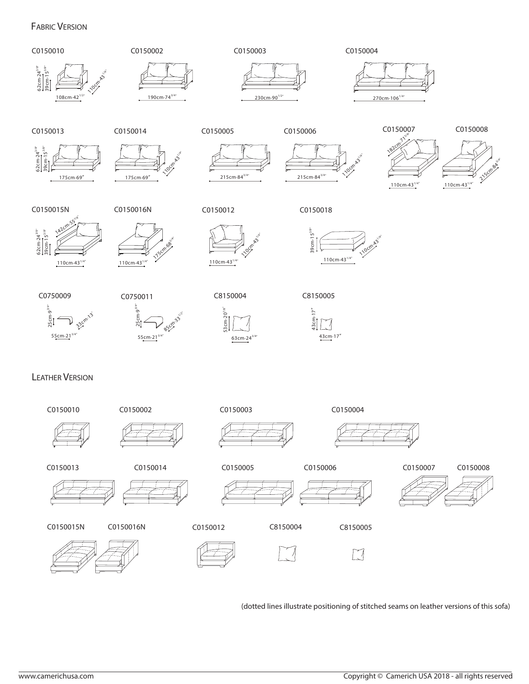## FABRIC VERSION



(dotted lines illustrate positioning of stitched seams on leather versions of this sofa)